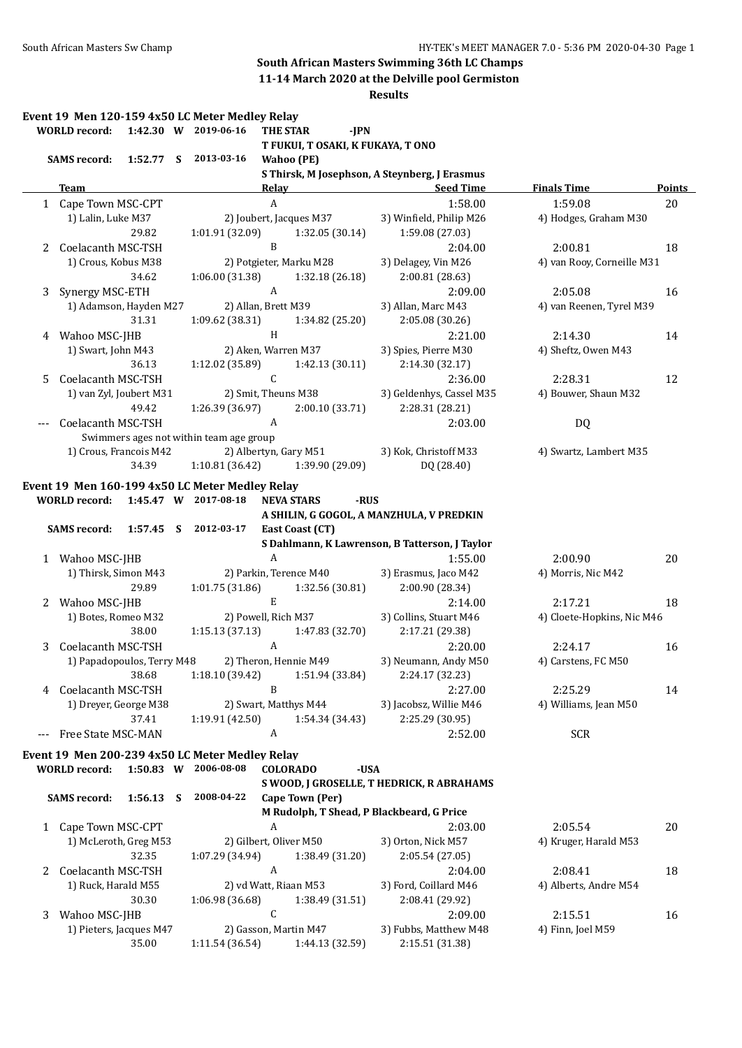# **South African Masters Swimming 36th LC Champs**

**11-14 March 2020 at the Delville pool Germiston**

|   | <b>WORLD</b> record:       |             | Event 19 Men 120-159 4x50 LC Meter Medley Relay<br>1:42.30 W 2019-06-16 | <b>THE STAR</b>        |                         | $-IPN$ |                                                |                            |               |
|---|----------------------------|-------------|-------------------------------------------------------------------------|------------------------|-------------------------|--------|------------------------------------------------|----------------------------|---------------|
|   | <b>SAMS record:</b>        |             | 1:52.77 S 2013-03-16                                                    | <b>Wahoo</b> (PE)      |                         |        | T FUKUI, T OSAKI, K FUKAYA, T ONO              |                            |               |
|   |                            |             |                                                                         |                        |                         |        | S Thirsk, M Josephson, A Steynberg, J Erasmus  |                            |               |
|   | <b>Team</b>                |             |                                                                         | <b>Relay</b>           |                         |        | <b>Example 2 Seed Time</b>                     | <b>Finals Time</b>         | <b>Points</b> |
|   | 1 Cape Town MSC-CPT        |             |                                                                         | $\boldsymbol{A}$       |                         |        | 1:58.00                                        | 1:59.08                    | 20            |
|   | 1) Lalin, Luke M37         |             |                                                                         |                        | 2) Joubert, Jacques M37 |        | 3) Winfield, Philip M26                        | 4) Hodges, Graham M30      |               |
|   |                            | 29.82       | 1:01.91 (32.09)                                                         |                        | 1:32.05(30.14)          |        | 1:59.08 (27.03)                                |                            |               |
| 2 | Coelacanth MSC-TSH         |             |                                                                         | $\mathbf{B}$           |                         |        | 2:04.00                                        | 2:00.81                    | 18            |
|   | 1) Crous, Kobus M38        |             |                                                                         |                        | 2) Potgieter, Marku M28 |        | 3) Delagey, Vin M26                            | 4) van Rooy, Corneille M31 |               |
|   |                            | 34.62       | 1:06.00(31.38)                                                          |                        | 1:32.18 (26.18)         |        | 2:00.81 (28.63)                                |                            |               |
| 3 | Synergy MSC-ETH            |             |                                                                         | $\mathbf{A}$           |                         |        | 2:09.00                                        | 2:05.08                    | 16            |
|   | 1) Adamson, Hayden M27     |             |                                                                         | 2) Allan, Brett M39    |                         |        | 3) Allan, Marc M43                             | 4) van Reenen, Tyrel M39   |               |
|   |                            | 31.31       | 1:09.62 (38.31)                                                         |                        | 1:34.82 (25.20)         |        | 2:05.08 (30.26)                                |                            |               |
| 4 | Wahoo MSC-JHB              |             |                                                                         | H                      |                         |        | 2:21.00                                        | 2:14.30                    | 14            |
|   | 1) Swart, John M43         |             |                                                                         | 2) Aken, Warren M37    |                         |        | 3) Spies, Pierre M30                           | 4) Sheftz, Owen M43        |               |
|   |                            | 36.13       | 1:12.02(35.89)                                                          |                        | 1:42.13(30.11)          |        | 2:14.30 (32.17)                                |                            |               |
| 5 | Coelacanth MSC-TSH         |             |                                                                         | $\mathsf C$            |                         |        | 2:36.00                                        | 2:28.31                    | 12            |
|   | 1) van Zyl, Joubert M31    |             |                                                                         | 2) Smit, Theuns M38    |                         |        | 3) Geldenhys, Cassel M35                       | 4) Bouwer, Shaun M32       |               |
|   |                            | 49.42       | 1:26.39 (36.97)                                                         |                        | 2:00.10 (33.71)         |        | 2:28.31 (28.21)                                |                            |               |
|   | Coelacanth MSC-TSH         |             |                                                                         | $\mathbf{A}$           |                         |        | 2:03.00                                        | DQ                         |               |
|   |                            |             | Swimmers ages not within team age group                                 |                        |                         |        |                                                |                            |               |
|   | 1) Crous, Francois M42     |             | 2) Albertyn, Gary M51                                                   |                        |                         |        | 3) Kok, Christoff M33                          | 4) Swartz, Lambert M35     |               |
|   |                            | 34.39       | 1:10.81(36.42)                                                          |                        | 1:39.90 (29.09)         |        | DQ (28.40)                                     |                            |               |
|   |                            |             |                                                                         |                        |                         |        |                                                |                            |               |
|   |                            |             | Event 19 Men 160-199 4x50 LC Meter Medley Relay                         |                        |                         |        |                                                |                            |               |
|   | <b>WORLD</b> record:       |             | 1:45.47 W 2017-08-18                                                    | <b>NEVA STARS</b>      |                         | -RUS   |                                                |                            |               |
|   |                            |             |                                                                         |                        |                         |        | A SHILIN, G GOGOL, A MANZHULA, V PREDKIN       |                            |               |
|   | <b>SAMS</b> record:        | $1:57.45$ S | 2012-03-17                                                              |                        | East Coast (CT)         |        |                                                |                            |               |
|   |                            |             |                                                                         |                        |                         |        | S Dahlmann, K Lawrenson, B Tatterson, J Taylor |                            |               |
|   | 1 Wahoo MSC-JHB            |             |                                                                         | $\boldsymbol{A}$       |                         |        | 1:55.00                                        | 2:00.90                    | 20            |
|   | 1) Thirsk, Simon M43       |             |                                                                         | 2) Parkin, Terence M40 |                         |        | 3) Erasmus, Jaco M42                           | 4) Morris, Nic M42         |               |
|   |                            | 29.89       | 1:01.75(31.86)                                                          |                        | 1:32.56 (30.81)         |        | 2:00.90 (28.34)                                |                            |               |
|   | 2 Wahoo MSC-JHB            |             |                                                                         | $\mathbf E$            |                         |        | 2:14.00                                        | 2:17.21                    | 18            |
|   | 1) Botes, Romeo M32        |             |                                                                         | 2) Powell, Rich M37    |                         |        | 3) Collins, Stuart M46                         | 4) Cloete-Hopkins, Nic M46 |               |
|   |                            | 38.00       | 1:15.13 (37.13)                                                         |                        | 1:47.83 (32.70)         |        | 2:17.21 (29.38)                                |                            |               |
| 3 | Coelacanth MSC-TSH         |             |                                                                         | $\boldsymbol{A}$       |                         |        | 2:20.00                                        | 2:24.17                    | 16            |
|   | 1) Papadopoulos, Terry M48 |             |                                                                         | 2) Theron, Hennie M49  |                         |        | 3) Neumann, Andy M50                           | 4) Carstens, FC M50        |               |
|   |                            |             |                                                                         |                        |                         |        |                                                |                            |               |
|   |                            | 38.68       | 1:18.10 (39.42)                                                         |                        | 1:51.94 (33.84)         |        | 2:24.17 (32.23)                                |                            |               |
| 4 | Coelacanth MSC-TSH         |             |                                                                         | B                      |                         |        | 2:27.00                                        | 2:25.29                    | 14            |
|   | 1) Dreyer, George M38      |             |                                                                         | 2) Swart, Matthys M44  |                         |        | 3) Jacobsz, Willie M46                         | 4) Williams, Jean M50      |               |
|   |                            | 37.41       | 1:19.91 (42.50)                                                         |                        | 1:54.34 (34.43)         |        | 2:25.29 (30.95)                                |                            |               |
|   | Free State MSC-MAN         |             |                                                                         | A                      |                         |        | 2:52.00                                        | <b>SCR</b>                 |               |
|   |                            |             | Event 19 Men 200-239 4x50 LC Meter Medley Relay                         |                        |                         |        |                                                |                            |               |
|   | <b>WORLD</b> record:       | $1:50.83$ W | 2006-08-08                                                              | <b>COLORADO</b>        |                         | -USA   |                                                |                            |               |
|   |                            |             |                                                                         |                        |                         |        | S WOOD, J GROSELLE, T HEDRICK, R ABRAHAMS      |                            |               |
|   | <b>SAMS</b> record:        | 1:56.13 S   | 2008-04-22                                                              |                        | Cape Town (Per)         |        |                                                |                            |               |
|   |                            |             |                                                                         |                        |                         |        | M Rudolph, T Shead, P Blackbeard, G Price      |                            |               |
|   | Cape Town MSC-CPT          |             |                                                                         | A                      |                         |        | 2:03.00                                        | 2:05.54                    | 20            |
| 1 |                            |             |                                                                         | 2) Gilbert, Oliver M50 |                         |        |                                                |                            |               |
|   | 1) McLeroth, Greg M53      |             |                                                                         |                        |                         |        | 3) Orton, Nick M57                             | 4) Kruger, Harald M53      |               |
|   |                            | 32.35       | 1:07.29 (34.94)                                                         |                        | 1:38.49 (31.20)         |        | 2:05.54 (27.05)                                |                            |               |
| 2 | Coelacanth MSC-TSH         |             |                                                                         | A                      |                         |        | 2:04.00                                        | 2:08.41                    | 18            |
|   | 1) Ruck, Harald M55        |             |                                                                         | 2) vd Watt, Riaan M53  |                         |        | 3) Ford, Coillard M46                          | 4) Alberts, Andre M54      |               |
|   |                            | 30.30       | 1:06.98 (36.68)                                                         |                        | 1:38.49 (31.51)         |        | 2:08.41 (29.92)                                |                            |               |
| 3 | Wahoo MSC-JHB              |             |                                                                         | C                      |                         |        | 2:09.00                                        | 2:15.51                    | 16            |
|   | 1) Pieters, Jacques M47    |             |                                                                         | 2) Gasson, Martin M47  |                         |        | 3) Fubbs, Matthew M48                          | 4) Finn, Joel M59          |               |
|   |                            | 35.00       | 1:11.54 (36.54)                                                         |                        | 1:44.13 (32.59)         |        | 2:15.51 (31.38)                                |                            |               |
|   |                            |             |                                                                         |                        |                         |        |                                                |                            |               |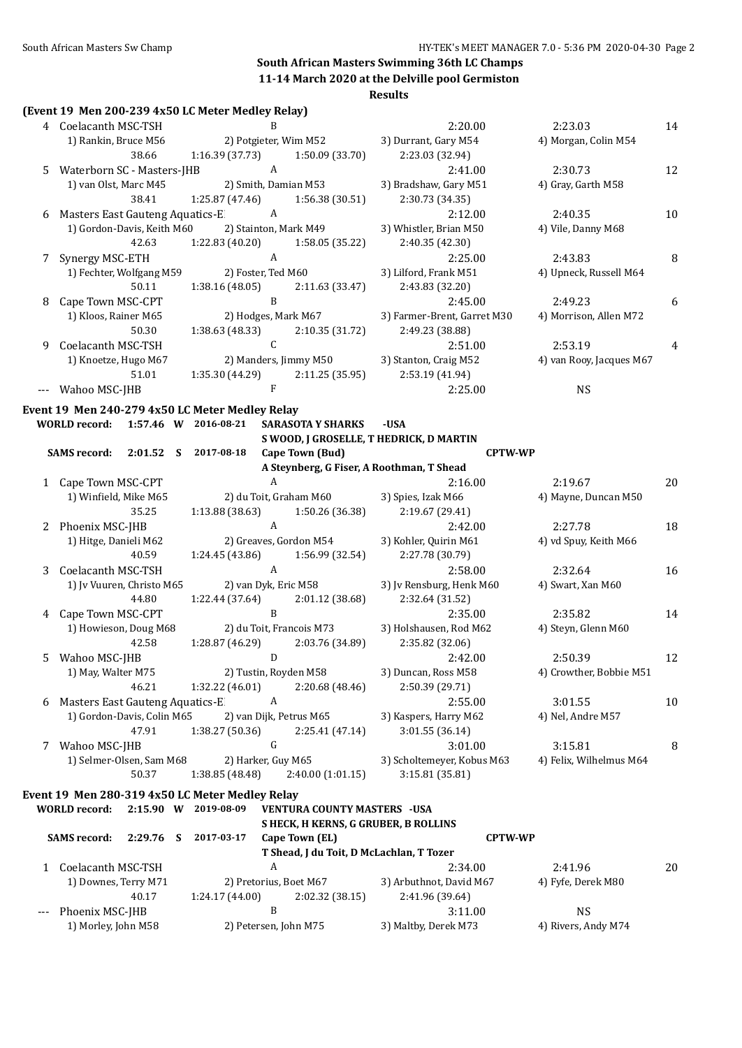#### **Results**

|    |                                    |             | (Event 19 Men 200-239 4x50 LC Meter Medley Relay) |              |                                          |                                           |                          |    |
|----|------------------------------------|-------------|---------------------------------------------------|--------------|------------------------------------------|-------------------------------------------|--------------------------|----|
|    | 4 Coelacanth MSC-TSH               |             |                                                   | R            |                                          | 2:20.00                                   | 2:23.03                  | 14 |
|    | 1) Rankin, Bruce M56               |             |                                                   |              | 2) Potgieter, Wim M52                    | 3) Durrant, Gary M54                      | 4) Morgan, Colin M54     |    |
|    |                                    | 38.66       | 1:16.39(37.73)                                    |              | 1:50.09 (33.70)                          | 2:23.03 (32.94)                           |                          |    |
| 5. | Waterborn SC - Masters-JHB         |             |                                                   | A            |                                          | 2:41.00                                   | 2:30.73                  | 12 |
|    | 1) van Olst, Marc M45              |             |                                                   |              | 2) Smith, Damian M53                     | 3) Bradshaw, Gary M51                     | 4) Gray, Garth M58       |    |
|    |                                    | 38.41       | 1:25.87 (47.46)                                   |              | 1:56.38 (30.51)                          | 2:30.73 (34.35)                           |                          |    |
|    | 6 Masters East Gauteng Aquatics-E  |             |                                                   | A            |                                          | 2:12.00                                   | 2:40.35                  | 10 |
|    | 1) Gordon-Davis, Keith M60         |             |                                                   |              | 2) Stainton, Mark M49                    | 3) Whistler, Brian M50                    | 4) Vile, Danny M68       |    |
|    |                                    | 42.63       | 1:22.83(40.20)                                    |              | 1:58.05 (35.22)                          | 2:40.35 (42.30)                           |                          |    |
|    | 7 Synergy MSC-ETH                  |             |                                                   | A            |                                          | 2:25.00                                   | 2:43.83                  | 8  |
|    | 1) Fechter, Wolfgang M59           |             | 2) Foster, Ted M60                                |              |                                          | 3) Lilford, Frank M51                     | 4) Upneck, Russell M64   |    |
|    |                                    | 50.11       | 1:38.16 (48.05)                                   |              | 2:11.63 (33.47)                          | 2:43.83 (32.20)                           |                          |    |
| 8  | Cape Town MSC-CPT                  |             |                                                   | $\mathbf B$  |                                          | 2:45.00                                   | 2:49.23                  | 6  |
|    | 1) Kloos, Rainer M65               |             |                                                   |              | 2) Hodges, Mark M67                      | 3) Farmer-Brent, Garret M30               | 4) Morrison, Allen M72   |    |
|    |                                    | 50.30       | 1:38.63 (48.33)                                   |              | 2:10.35 (31.72)                          | 2:49.23 (38.88)                           |                          |    |
| 9  | Coelacanth MSC-TSH                 |             |                                                   | $\mathsf{C}$ |                                          | 2:51.00                                   | 2:53.19                  | 4  |
|    | 1) Knoetze, Hugo M67               |             |                                                   |              | 2) Manders, Jimmy M50                    | 3) Stanton, Craig M52                     | 4) van Rooy, Jacques M67 |    |
|    |                                    | 51.01       | 1:35.30 (44.29)                                   |              | 2:11.25 (35.95)                          | 2:53.19 (41.94)                           |                          |    |
|    | Wahoo MSC-JHB                      |             |                                                   | F            |                                          | 2:25.00                                   | <b>NS</b>                |    |
|    |                                    |             | Event 19 Men 240-279 4x50 LC Meter Medley Relay   |              |                                          |                                           |                          |    |
|    | WORLD record: 1:57.46 W 2016-08-21 |             |                                                   |              | <b>SARASOTA Y SHARKS</b>                 | -USA                                      |                          |    |
|    |                                    |             |                                                   |              |                                          | S WOOD, J GROSELLE, T HEDRICK, D MARTIN   |                          |    |
|    | SAMS record: 2:01.52 S 2017-08-18  |             |                                                   |              | Cape Town (Bud)                          | <b>CPTW-WP</b>                            |                          |    |
|    |                                    |             |                                                   |              |                                          | A Steynberg, G Fiser, A Roothman, T Shead |                          |    |
|    | 1 Cape Town MSC-CPT                |             |                                                   | A            |                                          | 2:16.00                                   | 2:19.67                  | 20 |
|    | 1) Winfield, Mike M65              |             |                                                   |              | 2) du Toit, Graham M60                   | 3) Spies, Izak M66                        | 4) Mayne, Duncan M50     |    |
|    |                                    | 35.25       | 1:13.88 (38.63)                                   |              | 1:50.26 (36.38)                          | 2:19.67 (29.41)                           |                          |    |
|    | 2 Phoenix MSC-JHB                  |             |                                                   | A            |                                          | 2:42.00                                   | 2:27.78                  | 18 |
|    | 1) Hitge, Danieli M62              |             |                                                   |              | 2) Greaves, Gordon M54                   | 3) Kohler, Quirin M61                     | 4) vd Spuy, Keith M66    |    |
|    |                                    | 40.59       | 1:24.45 (43.86)                                   |              | 1:56.99 (32.54)                          | 2:27.78 (30.79)                           |                          |    |
| 3  | Coelacanth MSC-TSH                 |             |                                                   | $\mathbf{A}$ |                                          | 2:58.00                                   | 2:32.64                  | 16 |
|    | 1) Jv Vuuren, Christo M65          |             |                                                   |              | 2) van Dyk, Eric M58                     | 3) Jv Rensburg, Henk M60                  | 4) Swart, Xan M60        |    |
|    |                                    | 44.80       | 1:22.44 (37.64)                                   |              | 2:01.12(38.68)                           | 2:32.64 (31.52)                           |                          |    |
|    | 4 Cape Town MSC-CPT                |             |                                                   | B            |                                          | 2:35.00                                   | 2:35.82                  | 14 |
|    | 1) Howieson, Doug M68              |             |                                                   |              | 2) du Toit, Francois M73                 | 3) Holshausen, Rod M62                    | 4) Steyn, Glenn M60      |    |
|    |                                    | 42.58       | 1:28.87 (46.29)                                   |              | 2:03.76 (34.89)                          | 2:35.82 (32.06)                           |                          |    |
|    | 5 Wahoo MSC-JHB                    |             |                                                   |              |                                          | $D$ 2:42.00                               | 2:50.39                  | 12 |
|    | 1) May, Walter M75                 |             |                                                   |              | 2) Tustin, Royden M58                    | 3) Duncan, Ross M58                       | 4) Crowther, Bobbie M51  |    |
|    |                                    | 46.21       | 1:32.22 (46.01)                                   |              | 2:20.68 (48.46)                          | 2:50.39 (29.71)                           |                          |    |
| 6  | Masters East Gauteng Aquatics-E    |             |                                                   | A            |                                          | 2:55.00                                   | 3:01.55                  | 10 |
|    | 1) Gordon-Davis, Colin M65         |             |                                                   |              | 2) van Dijk, Petrus M65                  | 3) Kaspers, Harry M62                     | 4) Nel, Andre M57        |    |
|    |                                    | 47.91       | 1:38.27 (50.36)                                   |              | 2:25.41 (47.14)                          | 3:01.55 (36.14)                           |                          |    |
| 7  | Wahoo MSC-JHB                      |             |                                                   | G            |                                          | 3:01.00                                   | 3:15.81                  | 8  |
|    | 1) Selmer-Olsen, Sam M68           |             | 2) Harker, Guy M65                                |              |                                          | 3) Scholtemeyer, Kobus M63                | 4) Felix, Wilhelmus M64  |    |
|    |                                    | 50.37       | 1:38.85 (48.48)                                   |              | 2:40.00(1:01.15)                         | 3:15.81 (35.81)                           |                          |    |
|    |                                    |             | Event 19 Men 280-319 4x50 LC Meter Medley Relay   |              |                                          |                                           |                          |    |
|    | <b>WORLD</b> record:               |             | 2:15.90 W 2019-08-09                              |              | <b>VENTURA COUNTY MASTERS - USA</b>      |                                           |                          |    |
|    |                                    |             |                                                   |              | S HECK, H KERNS, G GRUBER, B ROLLINS     |                                           |                          |    |
|    | <b>SAMS record:</b>                | $2:29.76$ S | 2017-03-17                                        |              | Cape Town (EL)                           | <b>CPTW-WP</b>                            |                          |    |
|    |                                    |             |                                                   |              | T Shead, J du Toit, D McLachlan, T Tozer |                                           |                          |    |
|    | 1 Coelacanth MSC-TSH               |             |                                                   | A            |                                          | 2:34.00                                   | 2:41.96                  | 20 |
|    | 1) Downes, Terry M71               |             |                                                   |              | 2) Pretorius, Boet M67                   | 3) Arbuthnot, David M67                   | 4) Fyfe, Derek M80       |    |
|    |                                    | 40.17       | 1:24.17 (44.00)                                   |              | 2:02.32 (38.15)                          | 2:41.96 (39.64)                           |                          |    |

--- Phoenix MSC-JHB B 3:11.00 NS

1) Morley, John M58 2) Petersen, John M75 3) Maltby, Derek M73 4) Rivers, Andy M74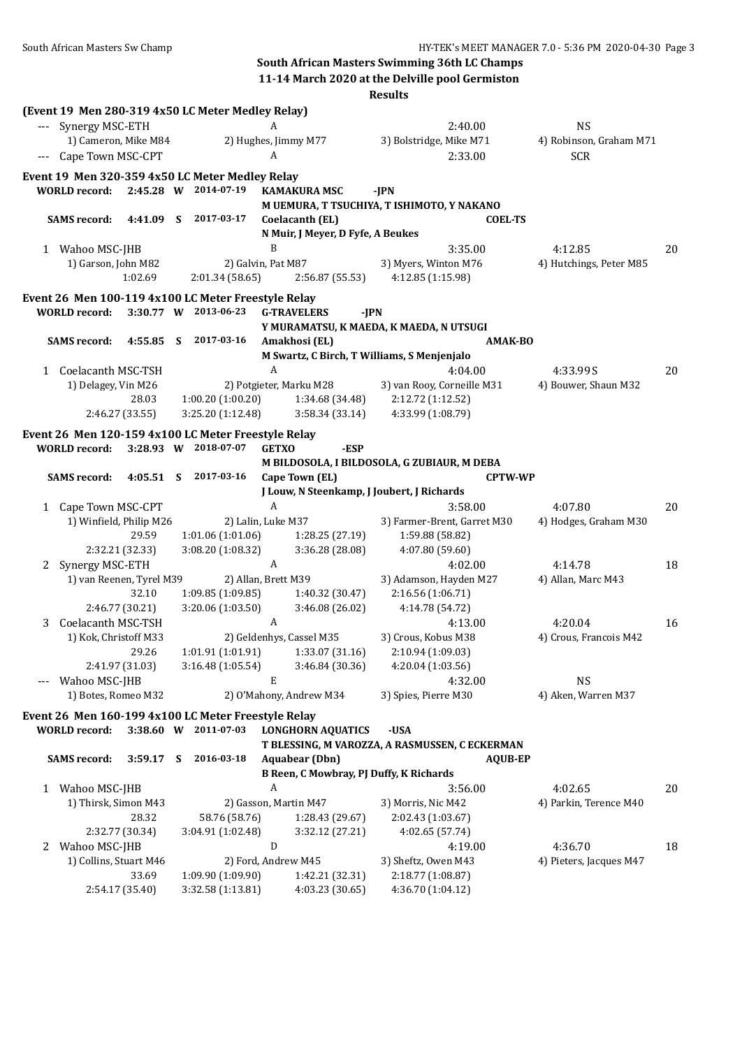|   |                          |                 |    |                                                     |                  |                                                | <b>Results</b>                                 |                |                         |    |
|---|--------------------------|-----------------|----|-----------------------------------------------------|------------------|------------------------------------------------|------------------------------------------------|----------------|-------------------------|----|
|   |                          |                 |    | (Event 19 Men 280-319 4x50 LC Meter Medley Relay)   |                  |                                                |                                                |                |                         |    |
|   | Synergy MSC-ETH          |                 |    |                                                     | A                |                                                | 2:40.00                                        |                | <b>NS</b>               |    |
|   | 1) Cameron, Mike M84     |                 |    |                                                     |                  | 2) Hughes, Jimmy M77                           | 3) Bolstridge, Mike M71                        |                | 4) Robinson, Graham M71 |    |
|   | Cape Town MSC-CPT        |                 |    |                                                     | A                |                                                | 2:33.00                                        |                | <b>SCR</b>              |    |
|   |                          |                 |    | Event 19 Men 320-359 4x50 LC Meter Medley Relay     |                  |                                                |                                                |                |                         |    |
|   | <b>WORLD</b> record:     |                 |    | 2:45.28 W 2014-07-19                                |                  | <b>KAMAKURA MSC</b>                            | -JPN                                           |                |                         |    |
|   |                          |                 |    |                                                     |                  |                                                | M UEMURA, T TSUCHIYA, T ISHIMOTO, Y NAKANO     |                |                         |    |
|   | <b>SAMS</b> record:      | 4:41.09         | S  | 2017-03-17                                          |                  | Coelacanth (EL)                                |                                                | <b>COEL-TS</b> |                         |    |
|   |                          |                 |    |                                                     |                  | N Muir, J Meyer, D Fyfe, A Beukes              |                                                |                |                         |    |
|   | 1 Wahoo MSC-JHB          |                 |    |                                                     | B                |                                                | 3:35.00                                        |                | 4:12.85                 | 20 |
|   | 1) Garson, John M82      |                 |    | 2) Galvin, Pat M87                                  |                  |                                                | 3) Myers, Winton M76                           |                | 4) Hutchings, Peter M85 |    |
|   |                          | 1:02.69         |    | 2:01.34 (58.65)                                     |                  | 2:56.87 (55.53)                                | 4:12.85 (1:15.98)                              |                |                         |    |
|   |                          |                 |    | Event 26 Men 100-119 4x100 LC Meter Freestyle Relay |                  |                                                |                                                |                |                         |    |
|   | <b>WORLD</b> record:     |                 |    | 3:30.77 W 2013-06-23                                |                  | <b>G-TRAVELERS</b><br>-JPN                     |                                                |                |                         |    |
|   |                          |                 |    |                                                     |                  |                                                | Y MURAMATSU, K MAEDA, K MAEDA, N UTSUGI        |                |                         |    |
|   | <b>SAMS</b> record:      | 4:55.85         | -S | 2017-03-16                                          |                  | Amakhosi (EL)                                  |                                                | <b>AMAK-BO</b> |                         |    |
|   |                          |                 |    |                                                     |                  |                                                | M Swartz, C Birch, T Williams, S Menjenjalo    |                |                         |    |
|   | 1 Coelacanth MSC-TSH     |                 |    |                                                     | A                |                                                | 4:04.00                                        |                | 4:33.99S                | 20 |
|   | 1) Delagey, Vin M26      |                 |    |                                                     |                  | 2) Potgieter, Marku M28                        | 3) van Rooy, Corneille M31                     |                | 4) Bouwer, Shaun M32    |    |
|   |                          | 28.03           |    | 1:00.20(1:00.20)                                    |                  | 1:34.68 (34.48)                                | 2:12.72 (1:12.52)                              |                |                         |    |
|   |                          | 2:46.27 (33.55) |    | 3:25.20 (1:12.48)                                   |                  | 3:58.34 (33.14)                                | 4:33.99 (1:08.79)                              |                |                         |    |
|   |                          |                 |    | Event 26 Men 120-159 4x100 LC Meter Freestyle Relay |                  |                                                |                                                |                |                         |    |
|   | <b>WORLD</b> record:     |                 |    | 3:28.93 W 2018-07-07                                | <b>GETXO</b>     | -ESP                                           |                                                |                |                         |    |
|   |                          |                 |    |                                                     |                  |                                                | M BILDOSOLA, I BILDOSOLA, G ZUBIAUR, M DEBA    |                |                         |    |
|   | <b>SAMS</b> record:      | 4:05.51 S       |    | 2017-03-16                                          |                  | Cape Town (EL)                                 |                                                | <b>CPTW-WP</b> |                         |    |
|   |                          |                 |    |                                                     |                  |                                                | J Louw, N Steenkamp, J Joubert, J Richards     |                |                         |    |
| 1 | Cape Town MSC-CPT        |                 |    |                                                     | A                |                                                | 3:58.00                                        |                | 4:07.80                 | 20 |
|   | 1) Winfield, Philip M26  |                 |    | 2) Lalin, Luke M37                                  |                  |                                                | 3) Farmer-Brent, Garret M30                    |                | 4) Hodges, Graham M30   |    |
|   |                          | 29.59           |    | 1:01.06(1:01.06)                                    |                  | 1:28.25 (27.19)                                | 1:59.88 (58.82)                                |                |                         |    |
|   |                          | 2:32.21 (32.33) |    | 3:08.20 (1:08.32)                                   |                  | 3:36.28 (28.08)                                | 4:07.80 (59.60)                                |                |                         |    |
| 2 | Synergy MSC-ETH          |                 |    |                                                     | $\boldsymbol{A}$ |                                                | 4:02.00                                        |                | 4:14.78                 | 18 |
|   | 1) van Reenen, Tyrel M39 |                 |    | 2) Allan, Brett M39                                 |                  |                                                | 3) Adamson, Hayden M27                         |                | 4) Allan, Marc M43      |    |
|   |                          | 32.10           |    | 1:09.85(1:09.85)                                    |                  | 1:40.32 (30.47)                                | 2:16.56 (1:06.71)                              |                |                         |    |
|   |                          | 2:46.77 (30.21) |    | 3:20.06 (1:03.50)                                   |                  | 3:46.08 (26.02)                                | 4:14.78 (54.72)                                |                |                         |    |
| 3 | Coelacanth MSC-TSH       |                 |    |                                                     | A                |                                                | 4:13.00                                        |                | 4:20.04                 | 16 |
|   | 1) Kok, Christoff M33    |                 |    |                                                     |                  | 2) Geldenhys, Cassel M35                       | 3) Crous, Kobus M38                            |                | 4) Crous, Francois M42  |    |
|   |                          | 29.26           |    | 1:01.91 (1:01.91)                                   |                  | 1:33.07(31.16)                                 | 2:10.94 (1:09.03)                              |                |                         |    |
|   |                          | 2:41.97 (31.03) |    | 3:16.48 (1:05.54)                                   |                  | 3:46.84 (30.36)                                | 4:20.04 (1:03.56)                              |                |                         |    |
|   | Wahoo MSC-JHB            |                 |    |                                                     | E                |                                                | 4:32.00                                        |                | <b>NS</b>               |    |
|   | 1) Botes, Romeo M32      |                 |    |                                                     |                  | 2) O'Mahony, Andrew M34                        | 3) Spies, Pierre M30                           |                | 4) Aken, Warren M37     |    |
|   |                          |                 |    | Event 26 Men 160-199 4x100 LC Meter Freestyle Relay |                  |                                                |                                                |                |                         |    |
|   | <b>WORLD</b> record:     |                 |    | 3:38.60 W 2011-07-03                                |                  | <b>LONGHORN AQUATICS</b>                       | -USA                                           |                |                         |    |
|   |                          |                 |    |                                                     |                  |                                                | T BLESSING, M VAROZZA, A RASMUSSEN, C ECKERMAN |                |                         |    |
|   | <b>SAMS</b> record:      | 3:59.17         | -S | 2016-03-18                                          |                  | <b>Aquabear</b> (Dbn)                          |                                                | <b>AQUB-EP</b> |                         |    |
|   |                          |                 |    |                                                     |                  | <b>B Reen, C Mowbray, PJ Duffy, K Richards</b> |                                                |                |                         |    |
|   | 1 Wahoo MSC-JHB          |                 |    |                                                     | A                |                                                | 3:56.00                                        |                | 4:02.65                 | 20 |
|   | 1) Thirsk, Simon M43     |                 |    |                                                     |                  | 2) Gasson, Martin M47                          | 3) Morris, Nic M42                             |                | 4) Parkin, Terence M40  |    |
|   |                          | 28.32           |    | 58.76 (58.76)                                       |                  | 1:28.43 (29.67)                                | 2:02.43 (1:03.67)                              |                |                         |    |
|   |                          | 2:32.77 (30.34) |    | 3:04.91 (1:02.48)                                   |                  | 3:32.12 (27.21)                                | 4:02.65 (57.74)                                |                |                         |    |
| 2 | Wahoo MSC-JHB            |                 |    |                                                     | ${\bf D}$        |                                                | 4:19.00                                        |                | 4:36.70                 | 18 |
|   | 1) Collins, Stuart M46   |                 |    |                                                     |                  | 2) Ford, Andrew M45                            | 3) Sheftz, Owen M43                            |                | 4) Pieters, Jacques M47 |    |
|   |                          | 33.69           |    | 1:09.90 (1:09.90)                                   |                  | 1:42.21 (32.31)                                | 2:18.77 (1:08.87)                              |                |                         |    |
|   |                          | 2:54.17 (35.40) |    | 3:32.58 (1:13.81)                                   |                  | 4:03.23 (30.65)                                | 4:36.70 (1:04.12)                              |                |                         |    |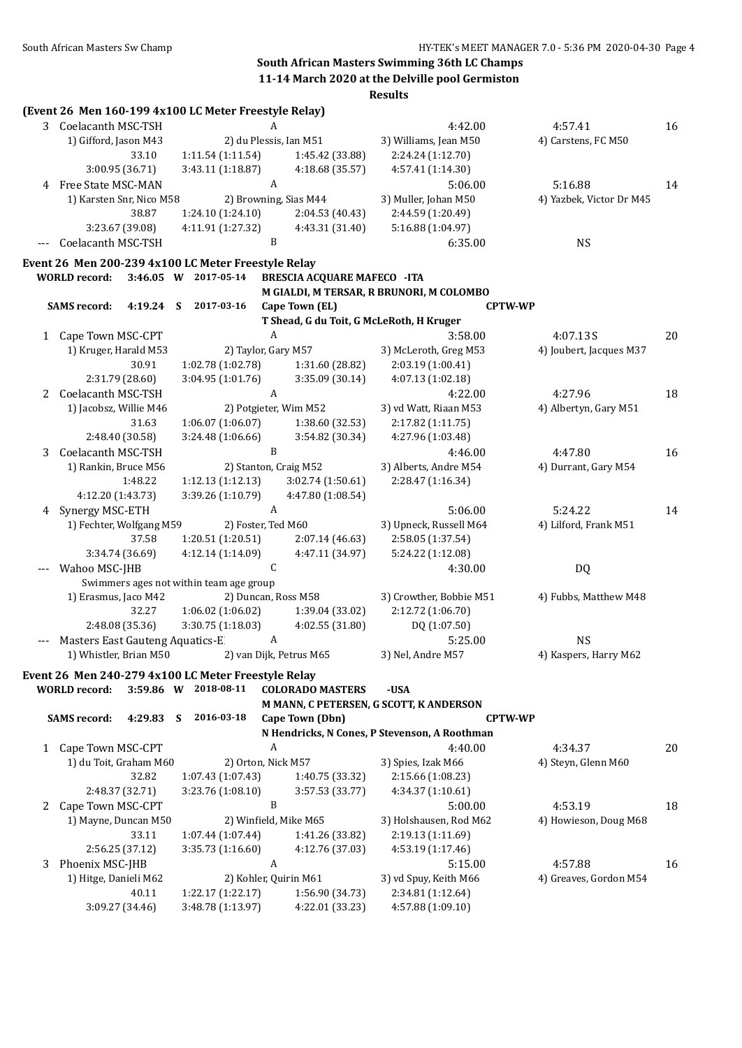|       | (Event 26 Men 160-199 4x100 LC Meter Freestyle Relay) |           |                                                |                        |                                    | ncəunə                                        |                |                          |    |
|-------|-------------------------------------------------------|-----------|------------------------------------------------|------------------------|------------------------------------|-----------------------------------------------|----------------|--------------------------|----|
|       | 3 Coelacanth MSC-TSH                                  |           |                                                | A                      |                                    | 4:42.00                                       |                | 4:57.41                  | 16 |
|       | 1) Gifford, Jason M43                                 |           |                                                | 2) du Plessis, Ian M51 |                                    | 3) Williams, Jean M50                         |                | 4) Carstens, FC M50      |    |
|       |                                                       | 33.10     | 1:11.54(1:11.54)                               |                        | 1:45.42 (33.88)                    | 2:24.24 (1:12.70)                             |                |                          |    |
|       | 3:00.95 (36.71)                                       |           | 3:43.11 (1:18.87)                              |                        | 4:18.68 (35.57)                    | 4:57.41 (1:14.30)                             |                |                          |    |
|       |                                                       |           |                                                | $\boldsymbol{A}$       |                                    |                                               |                |                          |    |
| 4     | Free State MSC-MAN                                    |           |                                                |                        |                                    | 5:06.00                                       |                | 5:16.88                  | 14 |
|       | 1) Karsten Snr, Nico M58                              |           |                                                | 2) Browning, Sias M44  |                                    | 3) Muller, Johan M50                          |                | 4) Yazbek, Victor Dr M45 |    |
|       |                                                       | 38.87     | 1:24.10 (1:24.10)                              |                        | 2:04.53 (40.43)                    | 2:44.59 (1:20.49)                             |                |                          |    |
|       | 3:23.67 (39.08)                                       |           | 4:11.91 (1:27.32)                              |                        | 4:43.31 (31.40)                    | 5:16.88 (1:04.97)                             |                |                          |    |
| $---$ | Coelacanth MSC-TSH                                    |           |                                                | B                      |                                    | 6:35.00                                       |                | <b>NS</b>                |    |
|       | Event 26 Men 200-239 4x100 LC Meter Freestyle Relay   |           |                                                |                        |                                    |                                               |                |                          |    |
|       | <b>WORLD</b> record:                                  |           | 3:46.05 W 2017-05-14                           |                        | <b>BRESCIA ACQUARE MAFECO -ITA</b> |                                               |                |                          |    |
|       |                                                       |           |                                                |                        |                                    | M GIALDI, M TERSAR, R BRUNORI, M COLOMBO      |                |                          |    |
|       | <b>SAMS</b> record:                                   | 4:19.24 S | 2017-03-16                                     |                        | Cape Town (EL)                     |                                               | <b>CPTW-WP</b> |                          |    |
|       |                                                       |           |                                                |                        |                                    | T Shead, G du Toit, G McLeRoth, H Kruger      |                |                          |    |
|       | 1 Cape Town MSC-CPT                                   |           |                                                | A                      |                                    | 3:58.00                                       |                | 4:07.13S                 | 20 |
|       | 1) Kruger, Harald M53                                 |           |                                                | 2) Taylor, Gary M57    |                                    | 3) McLeroth, Greg M53                         |                | 4) Joubert, Jacques M37  |    |
|       |                                                       | 30.91     | 1:02.78 (1:02.78)                              |                        | 1:31.60 (28.82)                    | 2:03.19 (1:00.41)                             |                |                          |    |
|       | 2:31.79 (28.60)                                       |           | 3:04.95 (1:01.76)                              |                        | 3:35.09 (30.14)                    | 4:07.13 (1:02.18)                             |                |                          |    |
| 2     | Coelacanth MSC-TSH                                    |           |                                                | $\boldsymbol{A}$       |                                    | 4:22.00                                       |                | 4:27.96                  | 18 |
|       | 1) Jacobsz, Willie M46                                |           |                                                | 2) Potgieter, Wim M52  |                                    | 3) vd Watt, Riaan M53                         |                | 4) Albertyn, Gary M51    |    |
|       |                                                       | 31.63     | 1:06.07(1:06.07)                               |                        | 1:38.60 (32.53)                    | 2:17.82 (1:11.75)                             |                |                          |    |
|       | 2:48.40 (30.58)                                       |           | 3:24.48 (1:06.66)                              |                        | 3:54.82 (30.34)                    | 4:27.96 (1:03.48)                             |                |                          |    |
| 3     | Coelacanth MSC-TSH                                    |           |                                                | $\mathbf B$            |                                    | 4:46.00                                       |                | 4:47.80                  | 16 |
|       | 1) Rankin, Bruce M56                                  |           |                                                | 2) Stanton, Craig M52  |                                    | 3) Alberts, Andre M54                         |                | 4) Durrant, Gary M54     |    |
|       |                                                       | 1:48.22   |                                                |                        |                                    | 2:28.47 (1:16.34)                             |                |                          |    |
|       |                                                       |           | 1:12.13(1:12.13)                               |                        | 3:02.74 (1:50.61)                  |                                               |                |                          |    |
|       | 4:12.20 (1:43.73)                                     |           | 3:39.26 (1:10.79)                              |                        | 4:47.80 (1:08.54)                  |                                               |                |                          |    |
| 4     | Synergy MSC-ETH                                       |           |                                                | A                      |                                    | 5:06.00                                       |                | 5:24.22                  | 14 |
|       | 1) Fechter, Wolfgang M59                              |           |                                                | 2) Foster, Ted M60     |                                    | 3) Upneck, Russell M64                        |                | 4) Lilford, Frank M51    |    |
|       |                                                       | 37.58     | 1:20.51(1:20.51)                               |                        | 2:07.14 (46.63)                    | 2:58.05 (1:37.54)                             |                |                          |    |
|       | 3:34.74 (36.69)                                       |           | 4:12.14 (1:14.09)                              |                        | 4:47.11 (34.97)                    | 5:24.22 (1:12.08)                             |                |                          |    |
|       | --- Wahoo MSC-JHB                                     |           |                                                | C                      |                                    | 4:30.00                                       |                | <b>DQ</b>                |    |
|       |                                                       |           | Swimmers ages not within team age group        |                        |                                    |                                               |                |                          |    |
|       | 1) Erasmus, Jaco M42                                  |           |                                                | 2) Duncan, Ross M58    |                                    | 3) Crowther, Bobbie M51                       |                | 4) Fubbs, Matthew M48    |    |
|       |                                                       | 32.27     | 1:06.02 (1:06.02)                              |                        | 1:39.04 (33.02)                    | 2:12.72 (1:06.70)                             |                |                          |    |
|       | 2:48.08 (35.36)                                       |           | 3:30.75 (1:18.03)                              |                        | 4:02.55 (31.80)                    | DQ (1:07.50)                                  |                |                          |    |
|       | Masters East Gauteng Aquatics-E                       |           |                                                | A                      |                                    | 5:25.00                                       |                | <b>NS</b>                |    |
|       |                                                       |           | 1) Whistler, Brian M50 2) van Dijk, Petrus M65 |                        |                                    | 3) Nel, Andre M57                             |                | 4) Kaspers, Harry M62    |    |
|       | Event 26 Men 240-279 4x100 LC Meter Freestyle Relay   |           |                                                |                        |                                    |                                               |                |                          |    |
|       | <b>WORLD</b> record:                                  |           | 3:59.86 W 2018-08-11                           |                        | <b>COLORADO MASTERS</b>            | -USA                                          |                |                          |    |
|       |                                                       |           |                                                |                        |                                    | M MANN, C PETERSEN, G SCOTT, K ANDERSON       |                |                          |    |
|       | <b>SAMS</b> record:                                   | 4:29.83 S | 2016-03-18                                     |                        | Cape Town (Dbn)                    |                                               | <b>CPTW-WP</b> |                          |    |
|       |                                                       |           |                                                |                        |                                    | N Hendricks, N Cones, P Stevenson, A Roothman |                |                          |    |
| 1     | Cape Town MSC-CPT                                     |           |                                                | A                      |                                    | 4:40.00                                       |                | 4:34.37                  | 20 |
|       | 1) du Toit, Graham M60                                |           |                                                | 2) Orton, Nick M57     |                                    | 3) Spies, Izak M66                            |                | 4) Steyn, Glenn M60      |    |
|       |                                                       | 32.82     | 1:07.43(1:07.43)                               |                        | 1:40.75 (33.32)                    | 2:15.66 (1:08.23)                             |                |                          |    |
|       | 2:48.37 (32.71)                                       |           | 3:23.76 (1:08.10)                              |                        | 3:57.53 (33.77)                    | 4:34.37 (1:10.61)                             |                |                          |    |
|       |                                                       |           |                                                | $\, {\bf B}$           |                                    |                                               |                |                          |    |
| 2     | Cape Town MSC-CPT                                     |           |                                                |                        |                                    | 5:00.00                                       |                | 4:53.19                  | 18 |
|       | 1) Mayne, Duncan M50                                  |           |                                                | 2) Winfield, Mike M65  |                                    | 3) Holshausen, Rod M62                        |                | 4) Howieson, Doug M68    |    |
|       |                                                       | 33.11     | 1:07.44(1:07.44)                               |                        | 1:41.26 (33.82)                    | 2:19.13 (1:11.69)                             |                |                          |    |
|       | 2:56.25 (37.12)                                       |           | 3:35.73 (1:16.60)                              |                        | 4:12.76 (37.03)                    | 4:53.19 (1:17.46)                             |                |                          |    |
| 3     | Phoenix MSC-JHB                                       |           |                                                | A                      |                                    | 5:15.00                                       |                | 4:57.88                  | 16 |
|       | 1) Hitge, Danieli M62                                 |           |                                                | 2) Kohler, Quirin M61  |                                    | 3) vd Spuy, Keith M66                         |                | 4) Greaves, Gordon M54   |    |
|       |                                                       | 40.11     | 1:22.17 (1:22.17)                              |                        | 1:56.90 (34.73)                    | 2:34.81 (1:12.64)                             |                |                          |    |
|       | 3:09.27 (34.46)                                       |           | 3:48.78 (1:13.97)                              |                        | 4:22.01 (33.23)                    | 4:57.88 (1:09.10)                             |                |                          |    |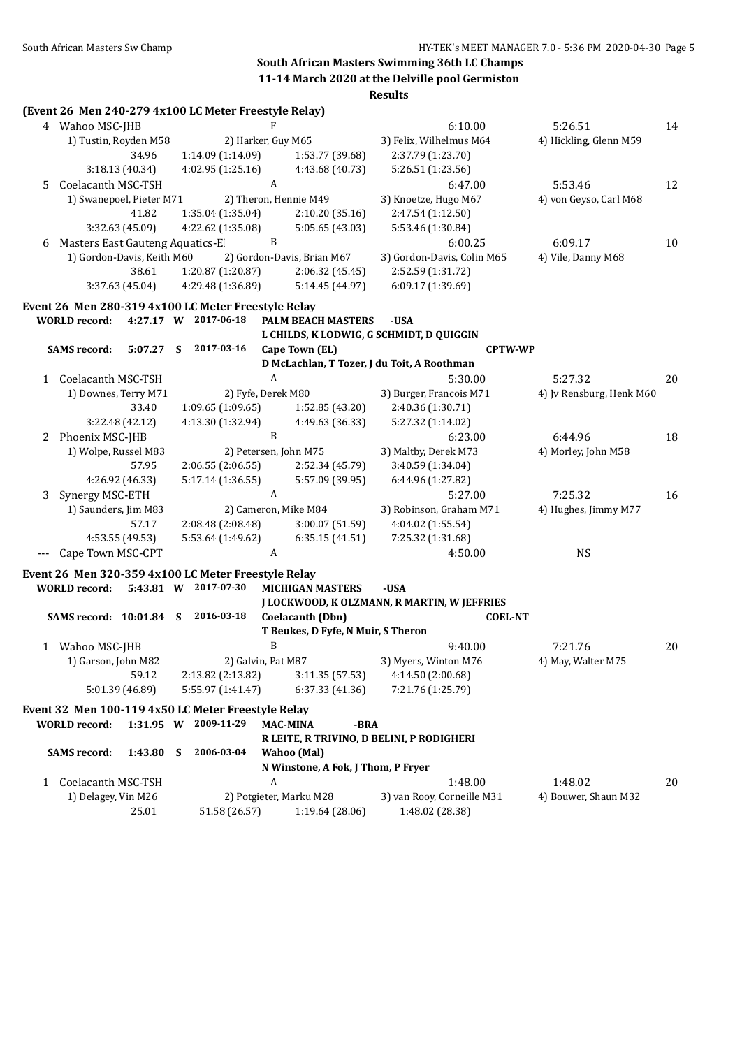|    |                                    |                 |    | (Event 26 Men 240-279 4x100 LC Meter Freestyle Relay)                      |                       |                                    |                                             |                          |    |
|----|------------------------------------|-----------------|----|----------------------------------------------------------------------------|-----------------------|------------------------------------|---------------------------------------------|--------------------------|----|
|    | 4 Wahoo MSC-JHB                    |                 |    |                                                                            |                       |                                    | 6:10.00                                     | 5:26.51                  | 14 |
|    | 1) Tustin, Royden M58              |                 |    | 2) Harker, Guy M65                                                         |                       |                                    | 3) Felix, Wilhelmus M64                     | 4) Hickling, Glenn M59   |    |
|    |                                    | 34.96           |    | 1:14.09 (1:14.09)                                                          |                       | 1:53.77 (39.68)                    | 2:37.79 (1:23.70)                           |                          |    |
|    |                                    | 3:18.13 (40.34) |    | 4:02.95(1:25.16)                                                           |                       | 4:43.68 (40.73)                    | 5:26.51 (1:23.56)                           |                          |    |
| 5. | Coelacanth MSC-TSH                 |                 |    |                                                                            | $\boldsymbol{A}$      |                                    | 6:47.00                                     | 5:53.46                  | 12 |
|    | 1) Swanepoel, Pieter M71           |                 |    |                                                                            | 2) Theron, Hennie M49 | 3) Knoetze, Hugo M67               | 4) von Geyso, Carl M68                      |                          |    |
|    |                                    | 41.82           |    | 1:35.04 (1:35.04)                                                          |                       | 2:10.20(35.16)                     | 2:47.54 (1:12.50)                           |                          |    |
|    |                                    | 3:32.63 (45.09) |    | 4:22.62 (1:35.08)                                                          |                       | 5:05.65 (43.03)                    | 5:53.46 (1:30.84)                           |                          |    |
| 6  | Masters East Gauteng Aquatics-E    |                 |    |                                                                            | B                     |                                    | 6:00.25                                     | 6:09.17                  | 10 |
|    | 1) Gordon-Davis, Keith M60         |                 |    |                                                                            |                       | 2) Gordon-Davis, Brian M67         | 3) Gordon-Davis, Colin M65                  | 4) Vile, Danny M68       |    |
|    |                                    | 38.61           |    | 1:20.87 (1:20.87)                                                          |                       | 2:06.32(45.45)                     | 2:52.59 (1:31.72)                           |                          |    |
|    |                                    | 3:37.63(45.04)  |    | 4:29.48 (1:36.89)                                                          |                       | 5:14.45 (44.97)                    | 6:09.17 (1:39.69)                           |                          |    |
|    |                                    |                 |    |                                                                            |                       |                                    |                                             |                          |    |
|    |                                    |                 |    | Event 26 Men 280-319 4x100 LC Meter Freestyle Relay                        |                       |                                    |                                             |                          |    |
|    | <b>WORLD record:</b>               |                 |    | 4:27.17 W 2017-06-18                                                       |                       | PALM BEACH MASTERS                 | -USA                                        |                          |    |
|    |                                    |                 |    |                                                                            |                       |                                    | L CHILDS, K LODWIG, G SCHMIDT, D QUIGGIN    |                          |    |
|    | <b>SAMS</b> record:                | 5:07.27 S       |    | 2017-03-16                                                                 |                       | Cape Town (EL)                     | <b>CPTW-WP</b>                              |                          |    |
|    |                                    |                 |    |                                                                            |                       |                                    | D McLachlan, T Tozer, J du Toit, A Roothman |                          |    |
|    | 1 Coelacanth MSC-TSH               |                 |    |                                                                            | $\boldsymbol{A}$      |                                    | 5:30.00                                     | 5:27.32                  | 20 |
|    | 1) Downes, Terry M71               |                 |    | 2) Fyfe, Derek M80                                                         |                       |                                    | 3) Burger, Francois M71                     | 4) Jv Rensburg, Henk M60 |    |
|    |                                    | 33.40           |    | 1:09.65(1:09.65)                                                           |                       | 1:52.85 (43.20)                    | 2:40.36 (1:30.71)                           |                          |    |
|    |                                    | 3:22.48 (42.12) |    | 4:13.30 (1:32.94)                                                          |                       | 4:49.63 (36.33)                    | 5:27.32 (1:14.02)                           |                          |    |
|    | 2 Phoenix MSC-JHB                  |                 |    |                                                                            | $\mathbf{B}$          |                                    | 6:23.00                                     | 6:44.96                  | 18 |
|    | 1) Wolpe, Russel M83               |                 |    |                                                                            |                       | 2) Petersen, John M75              | 3) Maltby, Derek M73                        | 4) Morley, John M58      |    |
|    |                                    | 57.95           |    | 2:06.55 (2:06.55)                                                          |                       | 2:52.34 (45.79)                    | 3:40.59 (1:34.04)                           |                          |    |
|    |                                    | 4:26.92 (46.33) |    | 5:17.14 (1:36.55)                                                          |                       | 5:57.09 (39.95)                    | 6:44.96 (1:27.82)                           |                          |    |
| 3  | Synergy MSC-ETH                    |                 |    |                                                                            | A                     |                                    | 5:27.00                                     | 7:25.32                  | 16 |
|    | 1) Saunders, Jim M83               |                 |    |                                                                            |                       | 2) Cameron, Mike M84               | 3) Robinson, Graham M71                     | 4) Hughes, Jimmy M77     |    |
|    |                                    | 57.17           |    | 2:08.48(2:08.48)                                                           |                       | 3:00.07(51.59)                     | 4:04.02 (1:55.54)                           |                          |    |
|    |                                    | 4:53.55 (49.53) |    | 5:53.64 (1:49.62)                                                          |                       | 6:35.15(41.51)                     | 7:25.32 (1:31.68)                           |                          |    |
|    | Cape Town MSC-CPT                  |                 |    |                                                                            | A                     |                                    | 4:50.00                                     | <b>NS</b>                |    |
|    |                                    |                 |    | Event 26 Men 320-359 4x100 LC Meter Freestyle Relay                        |                       |                                    |                                             |                          |    |
|    | WORLD record: 5:43.81 W 2017-07-30 |                 |    |                                                                            |                       | <b>MICHIGAN MASTERS</b>            | -USA                                        |                          |    |
|    |                                    |                 |    |                                                                            |                       |                                    | J LOCKWOOD, K OLZMANN, R MARTIN, W JEFFRIES |                          |    |
|    | SAMS record: 10:01.84 S 2016-03-18 |                 |    |                                                                            |                       | Coelacanth (Dbn)                   | <b>COEL-NT</b>                              |                          |    |
|    |                                    |                 |    |                                                                            |                       | T Beukes, D Fyfe, N Muir, S Theron |                                             |                          |    |
|    | 1 Wahoo MSC-JHB                    |                 |    |                                                                            | B                     |                                    | 9:40.00                                     | 7:21.76                  | 20 |
|    | 1) Garson, John M82                |                 |    | 2) Galvin, Pat M87                                                         |                       |                                    | 3) Myers, Winton M76                        | 4) May, Walter M75       |    |
|    |                                    | 59.12           |    | 2:13.82 (2:13.82)                                                          |                       | 3:11.35 (57.53)                    | 4:14.50 (2:00.68)                           |                          |    |
|    |                                    | 5:01.39 (46.89) |    | 5:55.97 (1:41.47)                                                          |                       | 6:37.33 (41.36)                    | 7:21.76 (1:25.79)                           |                          |    |
|    |                                    |                 |    |                                                                            |                       |                                    |                                             |                          |    |
|    | <b>WORLD</b> record:               |                 |    | Event 32 Men 100-119 4x50 LC Meter Freestyle Relay<br>1:31.95 W 2009-11-29 |                       |                                    |                                             |                          |    |
|    |                                    |                 |    |                                                                            |                       | <b>MAC-MINA</b><br>-BRA            | R LEITE, R TRIVINO, D BELINI, P RODIGHERI   |                          |    |
|    |                                    |                 |    | 2006-03-04                                                                 |                       |                                    |                                             |                          |    |
|    | <b>SAMS</b> record:                | 1:43.80         | -S |                                                                            |                       | Wahoo (Mal)                        |                                             |                          |    |
|    |                                    |                 |    |                                                                            |                       | N Winstone, A Fok, J Thom, P Fryer |                                             |                          |    |
| 1  | Coelacanth MSC-TSH                 |                 |    |                                                                            | A                     |                                    | 1:48.00                                     | 1:48.02                  | 20 |
|    | 1) Delagey, Vin M26                |                 |    |                                                                            |                       | 2) Potgieter, Marku M28            | 3) van Rooy, Corneille M31                  | 4) Bouwer, Shaun M32     |    |
|    |                                    | 25.01           |    | 51.58 (26.57)                                                              |                       | 1:19.64 (28.06)                    | 1:48.02 (28.38)                             |                          |    |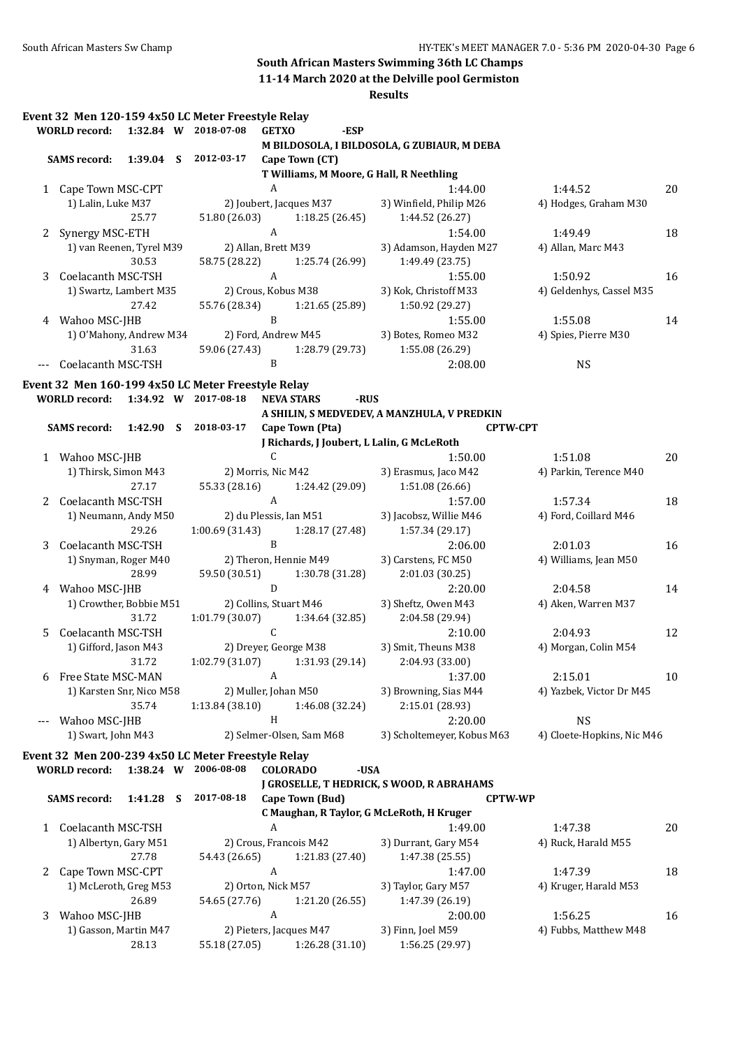## **South African Masters Swimming 36th LC Champs**

**11-14 March 2020 at the Delville pool Germiston**

| n<br>Ш<br>ч.<br>` |
|-------------------|
|-------------------|

|   |                                    |             | Event 32 Men 120-159 4x50 LC Meter Freestyle Relay                         |                           |                                   |      |                                             |                 |                            |    |
|---|------------------------------------|-------------|----------------------------------------------------------------------------|---------------------------|-----------------------------------|------|---------------------------------------------|-----------------|----------------------------|----|
|   | <b>WORLD</b> record:               |             | 1:32.84 W 2018-07-08                                                       | <b>GETXO</b>              | -ESP                              |      |                                             |                 |                            |    |
|   |                                    |             |                                                                            |                           |                                   |      | M BILDOSOLA, I BILDOSOLA, G ZUBIAUR, M DEBA |                 |                            |    |
|   | <b>SAMS record:</b>                |             | 1:39.04 S 2012-03-17                                                       |                           | Cape Town (CT)                    |      |                                             |                 |                            |    |
|   |                                    |             |                                                                            |                           |                                   |      | T Williams, M Moore, G Hall, R Neethling    |                 |                            |    |
|   | 1 Cape Town MSC-CPT                |             |                                                                            | A                         |                                   |      | 1:44.00                                     |                 | 1:44.52                    | 20 |
|   | 1) Lalin, Luke M37                 |             |                                                                            |                           | 2) Joubert, Jacques M37           |      | 3) Winfield, Philip M26                     |                 | 4) Hodges, Graham M30      |    |
|   |                                    | 25.77       |                                                                            |                           | 51.80 (26.03) 1:18.25 (26.45)     |      | 1:44.52 (26.27)                             |                 |                            |    |
| 2 | Synergy MSC-ETH                    |             |                                                                            | $\boldsymbol{\mathrm{A}}$ |                                   |      | 1:54.00                                     |                 | 1:49.49                    | 18 |
|   | 1) van Reenen, Tyrel M39           |             | 2) Allan, Brett M39                                                        |                           |                                   |      | 3) Adamson, Hayden M27                      |                 | 4) Allan, Marc M43         |    |
|   |                                    | 30.53       |                                                                            |                           | 58.75 (28.22) 1:25.74 (26.99)     |      | 1:49.49 (23.75)                             |                 |                            |    |
| 3 | Coelacanth MSC-TSH                 |             |                                                                            | $\mathbf{A}$              |                                   |      | 1:55.00                                     |                 | 1:50.92                    | 16 |
|   | 1) Swartz, Lambert M35             |             | 2) Crous, Kobus M38                                                        |                           |                                   |      | 3) Kok, Christoff M33                       |                 | 4) Geldenhys, Cassel M35   |    |
|   |                                    | 27.42       |                                                                            |                           | 55.76 (28.34) 1:21.65 (25.89)     |      | 1:50.92 (29.27)                             |                 |                            |    |
|   | 4 Wahoo MSC-JHB                    |             |                                                                            | $\mathbf{B}$              |                                   |      | 1:55.00                                     |                 | 1:55.08                    | 14 |
|   | 1) O'Mahony, Andrew M34            |             |                                                                            |                           | 2) Ford, Andrew M45               |      | 3) Botes, Romeo M32                         |                 | 4) Spies, Pierre M30       |    |
|   |                                    | 31.63       |                                                                            |                           | 59.06 (27.43) 1:28.79 (29.73)     |      | 1:55.08 (26.29)                             |                 |                            |    |
|   | Coelacanth MSC-TSH                 |             |                                                                            | B                         |                                   |      | 2:08.00                                     |                 | <b>NS</b>                  |    |
|   |                                    |             | Event 32 Men 160-199 4x50 LC Meter Freestyle Relay                         |                           |                                   |      |                                             |                 |                            |    |
|   | WORLD record: 1:34.92 W 2017-08-18 |             |                                                                            |                           | <b>NEVA STARS</b>                 | -RUS |                                             |                 |                            |    |
|   |                                    |             |                                                                            |                           |                                   |      | A SHILIN, S MEDVEDEV, A MANZHULA, V PREDKIN |                 |                            |    |
|   | <b>SAMS record:</b>                |             | 1:42.90 S 2018-03-17                                                       |                           | Cape Town (Pta)                   |      |                                             | <b>CPTW-CPT</b> |                            |    |
|   |                                    |             |                                                                            |                           |                                   |      | J Richards, J Joubert, L Lalin, G McLeRoth  |                 |                            |    |
|   | 1 Wahoo MSC-JHB                    |             |                                                                            | $\mathsf{C}$              |                                   |      | 1:50.00                                     |                 | 1:51.08                    | 20 |
|   | 1) Thirsk, Simon M43               |             | 2) Morris, Nic M42                                                         |                           |                                   |      | 3) Erasmus, Jaco M42                        |                 | 4) Parkin, Terence M40     |    |
|   |                                    | 27.17       |                                                                            |                           | 55.33 (28.16) 1:24.42 (29.09)     |      | 1:51.08 (26.66)                             |                 |                            |    |
|   | 2 Coelacanth MSC-TSH               |             |                                                                            | $\mathbf{A}$              |                                   |      | 1:57.00                                     |                 | 1:57.34                    | 18 |
|   | 1) Neumann, Andy M50               |             |                                                                            |                           | 2) du Plessis, Ian M51            |      | 3) Jacobsz, Willie M46                      |                 | 4) Ford, Coillard M46      |    |
|   |                                    | 29.26       |                                                                            |                           | $1:00.69(31.43)$ $1:28.17(27.48)$ |      | 1:57.34 (29.17)                             |                 |                            |    |
| 3 | Coelacanth MSC-TSH                 |             |                                                                            | $\, {\bf B}$              |                                   |      | 2:06.00                                     |                 | 2:01.03                    | 16 |
|   | 1) Snyman, Roger M40               |             |                                                                            |                           | 2) Theron, Hennie M49             |      | 3) Carstens, FC M50                         |                 | 4) Williams, Jean M50      |    |
|   |                                    | 28.99       |                                                                            |                           | 59.50 (30.51) 1:30.78 (31.28)     |      | 2:01.03 (30.25)                             |                 |                            |    |
|   | 4 Wahoo MSC-JHB                    |             |                                                                            | D                         |                                   |      | 2:20.00                                     |                 | 2:04.58                    | 14 |
|   | 1) Crowther, Bobbie M51            |             |                                                                            |                           | 2) Collins, Stuart M46            |      | 3) Sheftz, Owen M43                         |                 | 4) Aken, Warren M37        |    |
|   |                                    | 31.72       |                                                                            |                           | $1:01.79(30.07)$ $1:34.64(32.85)$ |      | 2:04.58 (29.94)                             |                 |                            |    |
| 5 | Coelacanth MSC-TSH                 |             |                                                                            | $\mathsf{C}$              |                                   |      | 2:10.00                                     |                 | 2:04.93                    | 12 |
|   | 1) Gifford, Jason M43              |             |                                                                            |                           |                                   |      | 2) Dreyer, George M38 3) Smit, Theuns M38   |                 | 4) Morgan, Colin M54       |    |
|   |                                    | 31.72       |                                                                            |                           | $1:02.79(31.07)$ $1:31.93(29.14)$ |      | 2:04.93 (33.00)                             |                 |                            |    |
| 6 | Free State MSC-MAN                 |             |                                                                            | A                         |                                   |      | 1:37.00                                     |                 | 2:15.01                    | 10 |
|   | 1) Karsten Snr, Nico M58           |             | 2) Muller, Johan M50                                                       |                           |                                   |      | 3) Browning, Sias M44                       |                 | 4) Yazbek, Victor Dr M45   |    |
|   |                                    | 35.74       | 1:13.84(38.10)                                                             |                           | 1:46.08 (32.24)                   |      | 2:15.01 (28.93)                             |                 |                            |    |
|   | Wahoo MSC-JHB                      |             |                                                                            | H                         |                                   |      | 2:20.00                                     |                 | <b>NS</b>                  |    |
|   | 1) Swart, John M43                 |             |                                                                            |                           | 2) Selmer-Olsen, Sam M68          |      | 3) Scholtemeyer, Kobus M63                  |                 | 4) Cloete-Hopkins, Nic M46 |    |
|   |                                    |             |                                                                            |                           |                                   |      |                                             |                 |                            |    |
|   |                                    |             | Event 32 Men 200-239 4x50 LC Meter Freestyle Relay<br>1:38.24 W 2006-08-08 |                           |                                   |      |                                             |                 |                            |    |
|   | <b>WORLD</b> record:               |             |                                                                            |                           | <b>COLORADO</b>                   | -USA |                                             |                 |                            |    |
|   | <b>SAMS</b> record:                | $1:41.28$ S | 2017-08-18                                                                 |                           | Cape Town (Bud)                   |      | J GROSELLE, T HEDRICK, S WOOD, R ABRAHAMS   | <b>CPTW-WP</b>  |                            |    |
|   |                                    |             |                                                                            |                           |                                   |      | C Maughan, R Taylor, G McLeRoth, H Kruger   |                 |                            |    |
|   | 1 Coelacanth MSC-TSH               |             |                                                                            | A                         |                                   |      | 1:49.00                                     |                 | 1:47.38                    |    |
|   | 1) Albertyn, Gary M51              |             |                                                                            |                           | 2) Crous, Francois M42            |      | 3) Durrant, Gary M54                        |                 |                            | 20 |
|   |                                    |             |                                                                            |                           |                                   |      |                                             |                 | 4) Ruck, Harald M55        |    |
|   |                                    | 27.78       | 54.43 (26.65)                                                              | A                         | 1:21.83 (27.40)                   |      | 1:47.38 (25.55)                             |                 |                            |    |
| 2 | Cape Town MSC-CPT                  |             | 2) Orton, Nick M57                                                         |                           |                                   |      | 1:47.00                                     |                 | 1:47.39                    | 18 |
|   | 1) McLeroth, Greg M53              | 26.89       |                                                                            |                           |                                   |      | 3) Taylor, Gary M57                         |                 | 4) Kruger, Harald M53      |    |
|   |                                    |             | 54.65 (27.76)                                                              | A                         | 1:21.20 (26.55)                   |      | 1:47.39 (26.19)                             |                 |                            |    |
| 3 | Wahoo MSC-JHB                      |             |                                                                            |                           |                                   |      | 2:00.00                                     |                 | 1:56.25                    | 16 |
|   | 1) Gasson, Martin M47              |             |                                                                            |                           | 2) Pieters, Jacques M47           |      | 3) Finn, Joel M59                           |                 | 4) Fubbs, Matthew M48      |    |
|   |                                    | 28.13       | 55.18 (27.05)                                                              |                           | 1:26.28 (31.10)                   |      | 1:56.25 (29.97)                             |                 |                            |    |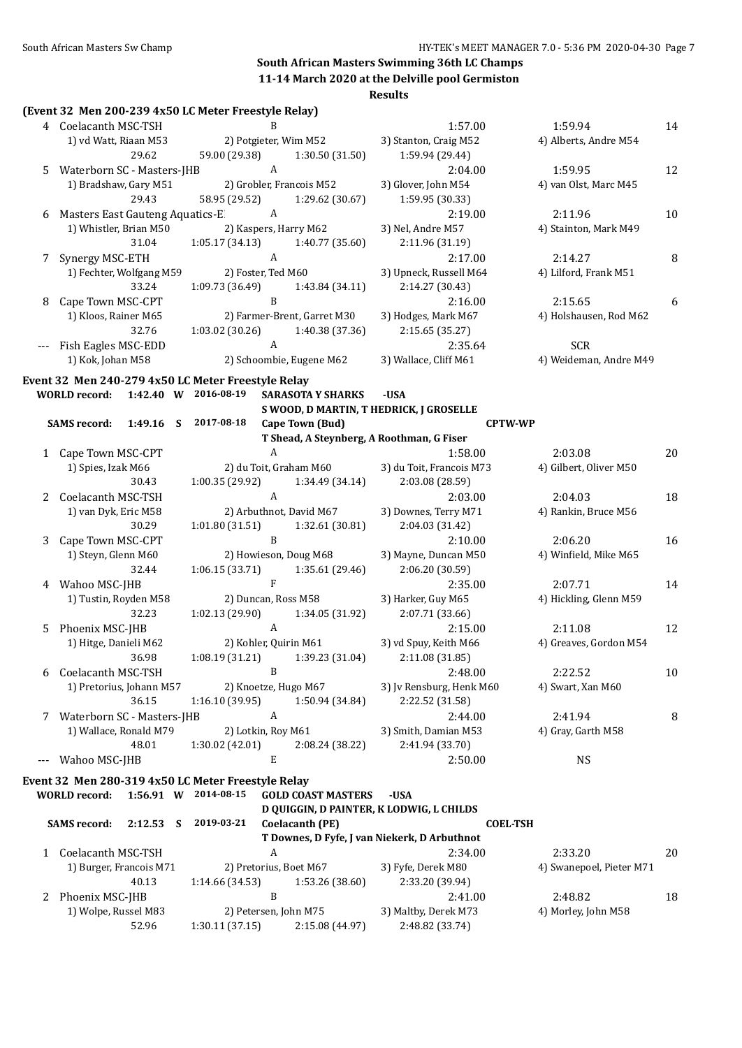|                      | (Event 32 Men 200-239 4x50 LC Meter Freestyle Relay) |                                    |                             |                                              |                               |    |
|----------------------|------------------------------------------------------|------------------------------------|-----------------------------|----------------------------------------------|-------------------------------|----|
|                      | 4 Coelacanth MSC-TSH                                 | B                                  |                             | 1:57.00                                      | 1:59.94                       | 14 |
|                      | 1) vd Watt, Riaan M53                                | 2) Potgieter, Wim M52              |                             | 3) Stanton, Craig M52                        | 4) Alberts, Andre M54         |    |
|                      | 29.62                                                | 59.00 (29.38)                      | 1:30.50(31.50)              | 1:59.94 (29.44)                              |                               |    |
| 5                    | Waterborn SC - Masters-JHB                           | $\,$ A                             |                             | 2:04.00                                      | 1:59.95                       | 12 |
|                      | 1) Bradshaw, Gary M51                                | 2) Grobler, Francois M52           |                             | 3) Glover, John M54                          | 4) van Olst, Marc M45         |    |
|                      | 29.43                                                | 58.95 (29.52)                      | 1:29.62 (30.67)             | 1:59.95 (30.33)                              |                               |    |
| 6                    | Masters East Gauteng Aquatics-E                      | $\mathbf{A}$                       |                             | 2:19.00                                      | 2:11.96                       | 10 |
|                      | 1) Whistler, Brian M50                               | 2) Kaspers, Harry M62              |                             | 3) Nel, Andre M57                            | 4) Stainton, Mark M49         |    |
|                      | 31.04                                                | 1:05.17 (34.13)                    | 1:40.77 (35.60)             | 2:11.96 (31.19)                              |                               |    |
| 7                    | Synergy MSC-ETH                                      | A                                  |                             | 2:17.00                                      | 2:14.27                       | 8  |
|                      | 1) Fechter, Wolfgang M59                             | 2) Foster, Ted M60                 |                             | 3) Upneck, Russell M64                       | 4) Lilford, Frank M51         |    |
|                      | 33.24                                                | 1:09.73 (36.49)                    | 1:43.84 (34.11)             | 2:14.27 (30.43)                              |                               |    |
| 8                    | Cape Town MSC-CPT                                    | $\mathbf B$                        |                             | 2:16.00                                      | 2:15.65                       | 6  |
|                      | 1) Kloos, Rainer M65                                 |                                    | 2) Farmer-Brent, Garret M30 | 3) Hodges, Mark M67                          | 4) Holshausen, Rod M62        |    |
|                      | 32.76                                                | 1:03.02 (30.26) 1:40.38 (37.36)    |                             | 2:15.65 (35.27)                              |                               |    |
|                      | --- Fish Eagles MSC-EDD                              | A                                  |                             | 2:35.64                                      | <b>SCR</b>                    |    |
|                      | 1) Kok, Johan M58                                    |                                    | 2) Schoombie, Eugene M62    | 3) Wallace, Cliff M61                        | 4) Weideman, Andre M49        |    |
|                      | Event 32 Men 240-279 4x50 LC Meter Freestyle Relay   |                                    |                             |                                              |                               |    |
|                      | WORLD record: 1:42.40 W 2016-08-19                   |                                    | <b>SARASOTA Y SHARKS</b>    | -USA                                         |                               |    |
|                      |                                                      |                                    |                             | S WOOD, D MARTIN, T HEDRICK, J GROSELLE      |                               |    |
|                      | <b>SAMS</b> record:<br>$1:49.16$ S                   | 2017-08-18                         | Cape Town (Bud)             | <b>CPTW-WP</b>                               |                               |    |
|                      |                                                      |                                    |                             | T Shead, A Steynberg, A Roothman, G Fiser    |                               |    |
|                      | 1 Cape Town MSC-CPT                                  | $\boldsymbol{A}$                   |                             | 1:58.00                                      | 2:03.08                       | 20 |
|                      | 1) Spies, Izak M66                                   | 2) du Toit, Graham M60             |                             | 3) du Toit, Francois M73                     | 4) Gilbert, Oliver M50        |    |
|                      | 30.43                                                | 1:00.35 (29.92)                    | 1:34.49 (34.14)             | 2:03.08 (28.59)                              |                               |    |
| $\mathbf{2}^{\circ}$ | Coelacanth MSC-TSH                                   | A                                  |                             | 2:03.00                                      | 2:04.03                       | 18 |
|                      | 1) van Dyk, Eric M58                                 | 2) Arbuthnot, David M67            |                             | 3) Downes, Terry M71                         | 4) Rankin, Bruce M56          |    |
|                      | 30.29                                                | $1:01.80(31.51)$ $1:32.61(30.81)$  |                             | 2:04.03 (31.42)                              |                               |    |
| 3                    | Cape Town MSC-CPT                                    | $\mathbf B$                        |                             | 2:10.00                                      | 2:06.20                       | 16 |
|                      | 1) Steyn, Glenn M60                                  | 2) Howieson, Doug M68              |                             | 3) Mayne, Duncan M50                         | 4) Winfield, Mike M65         |    |
|                      | 32.44                                                | $1:06.15(33.71)$ $1:35.61(29.46)$  |                             | 2:06.20 (30.59)                              |                               |    |
|                      | 4 Wahoo MSC-JHB                                      | $\mathbf{F}$                       |                             | 2:35.00                                      | 2:07.71                       | 14 |
|                      | 1) Tustin, Royden M58                                | 2) Duncan, Ross M58                |                             | 3) Harker, Guy M65                           | 4) Hickling, Glenn M59        |    |
|                      | 32.23                                                | 1:02.13(29.90)                     | 1:34.05 (31.92)             | 2:07.71 (33.66)                              |                               |    |
| 5                    | Phoenix MSC-JHB                                      | $\mathbf{A}$                       |                             | 2:15.00                                      | 2:11.08                       | 12 |
|                      | 1) Hitge, Danieli M62                                | 2) Kohler, Quirin M61              |                             | 3) vd Spuy, Keith M66                        | 4) Greaves, Gordon M54        |    |
|                      | 36.98                                                | 1:08.19 (31.21)                    | 1:39.23 (31.04)             | 2:11.08 (31.85)                              |                               |    |
| 6                    | Coelacanth MSC-TSH                                   | $\, {\bf B}$                       |                             | 2:48.00                                      | 2:22.52                       | 10 |
|                      | 1) Pretorius, Johann M57                             | 2) Knoetze, Hugo M67               |                             | 3) Jv Rensburg, Henk M60                     | 4) Swart, Xan M60             |    |
|                      | 36.15                                                | 1:16.10(39.95)<br>$\boldsymbol{A}$ | 1:50.94 (34.84)             | 2:22.52 (31.58)                              |                               |    |
| 7                    | Waterborn SC - Masters-JHB<br>1) Wallace, Ronald M79 | 2) Lotkin, Roy M61                 |                             | 2:44.00<br>3) Smith, Damian M53              | 2:41.94<br>4) Gray, Garth M58 | 8  |
|                      | 48.01                                                | 1:30.02 (42.01)                    | 2:08.24 (38.22)             | 2:41.94 (33.70)                              |                               |    |
| $\scriptstyle\cdots$ | Wahoo MSC-JHB                                        | E                                  |                             | 2:50.00                                      | <b>NS</b>                     |    |
|                      |                                                      |                                    |                             |                                              |                               |    |
|                      | Event 32 Men 280-319 4x50 LC Meter Freestyle Relay   |                                    |                             |                                              |                               |    |
|                      | <b>WORLD</b> record:                                 | 1:56.91 W 2014-08-15               | <b>GOLD COAST MASTERS</b>   | -USA                                         |                               |    |
|                      |                                                      |                                    |                             | D QUIGGIN, D PAINTER, K LODWIG, L CHILDS     |                               |    |
|                      | <b>SAMS</b> record:<br>$2:12.53$ S                   | 2019-03-21                         | <b>Coelacanth (PE)</b>      | <b>COEL-TSH</b>                              |                               |    |
|                      |                                                      |                                    |                             | T Downes, D Fyfe, J van Niekerk, D Arbuthnot |                               |    |
|                      | 1 Coelacanth MSC-TSH                                 | A                                  |                             | 2:34.00                                      | 2:33.20                       | 20 |
|                      | 1) Burger, Francois M71                              | 2) Pretorius, Boet M67             |                             | 3) Fyfe, Derek M80                           | 4) Swanepoel, Pieter M71      |    |
|                      | 40.13                                                | 1:14.66 (34.53)                    | 1:53.26 (38.60)             | 2:33.20 (39.94)                              |                               |    |
|                      | 2 Phoenix MSC-JHB                                    | B                                  |                             | 2:41.00                                      | 2:48.82                       | 18 |
|                      | 1) Wolpe, Russel M83<br>52.96                        | 2) Petersen, John M75              |                             | 3) Maltby, Derek M73<br>2:48.82 (33.74)      | 4) Morley, John M58           |    |
|                      |                                                      | 1:30.11(37.15)                     | 2:15.08 (44.97)             |                                              |                               |    |